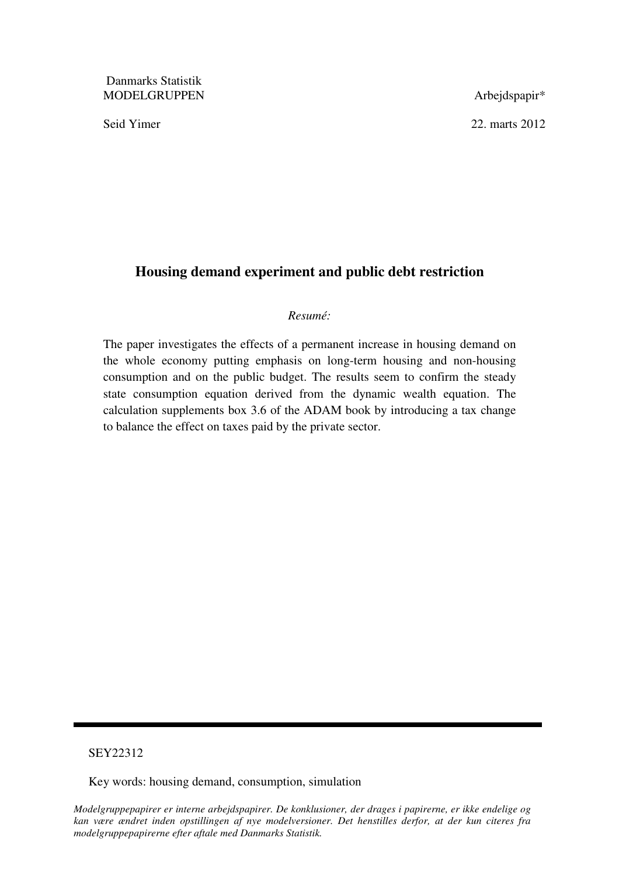Danmarks Statistik MODELGRUPPEN Arbejdspapir\*

Seid Yimer 22. marts 2012

# **Housing demand experiment and public debt restriction**

### *Resumé:*

The paper investigates the effects of a permanent increase in housing demand on the whole economy putting emphasis on long-term housing and non-housing consumption and on the public budget. The results seem to confirm the steady state consumption equation derived from the dynamic wealth equation. The calculation supplements box 3.6 of the ADAM book by introducing a tax change to balance the effect on taxes paid by the private sector.

## SEY22312

Key words: housing demand, consumption, simulation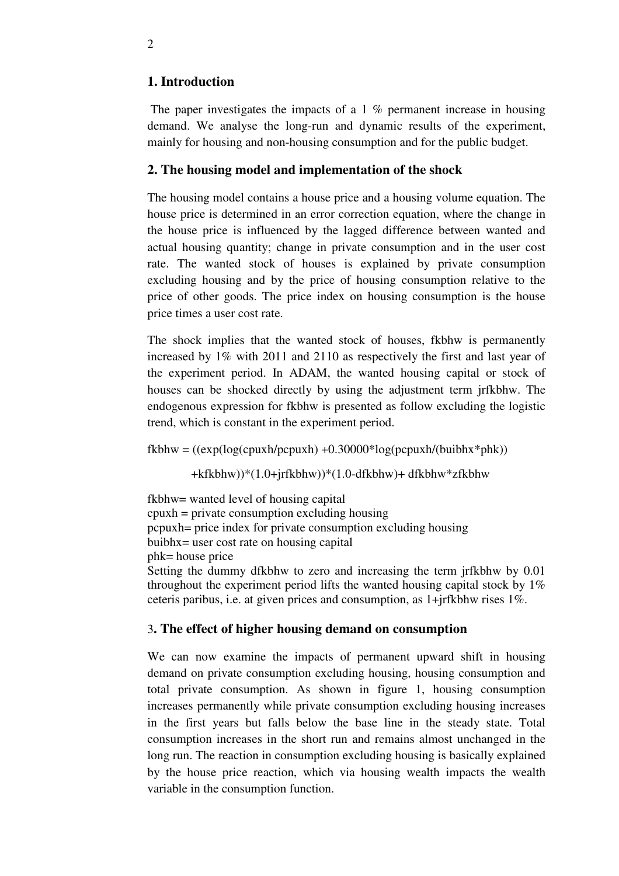# **1. Introduction**

The paper investigates the impacts of a 1 % permanent increase in housing demand. We analyse the long-run and dynamic results of the experiment, mainly for housing and non-housing consumption and for the public budget.

# **2. The housing model and implementation of the shock**

The housing model contains a house price and a housing volume equation. The house price is determined in an error correction equation, where the change in the house price is influenced by the lagged difference between wanted and actual housing quantity; change in private consumption and in the user cost rate. The wanted stock of houses is explained by private consumption excluding housing and by the price of housing consumption relative to the price of other goods. The price index on housing consumption is the house price times a user cost rate.

The shock implies that the wanted stock of houses, fkbhw is permanently increased by 1% with 2011 and 2110 as respectively the first and last year of the experiment period. In ADAM, the wanted housing capital or stock of houses can be shocked directly by using the adjustment term jrfkbhw. The endogenous expression for fkbhw is presented as follow excluding the logistic trend, which is constant in the experiment period.

 $fkbhw = ((exp(log(cpuxh/pcpuxh) + 0.30000 * log(pcpuxh/0.5phk)))$ 

+kfkbhw))\*(1.0+jrfkbhw))\*(1.0-dfkbhw)+ dfkbhw\*zfkbhw

fkbhw= wanted level of housing capital cpuxh = private consumption excluding housing pcpuxh= price index for private consumption excluding housing buibhx= user cost rate on housing capital phk= house price Setting the dummy dfkbhw to zero and increasing the term jrfkbhw by 0.01 throughout the experiment period lifts the wanted housing capital stock by 1% ceteris paribus, i.e. at given prices and consumption, as 1+jrfkbhw rises 1%.

## 3**. The effect of higher housing demand on consumption**

We can now examine the impacts of permanent upward shift in housing demand on private consumption excluding housing, housing consumption and total private consumption. As shown in figure 1, housing consumption increases permanently while private consumption excluding housing increases in the first years but falls below the base line in the steady state. Total consumption increases in the short run and remains almost unchanged in the long run. The reaction in consumption excluding housing is basically explained by the house price reaction, which via housing wealth impacts the wealth variable in the consumption function.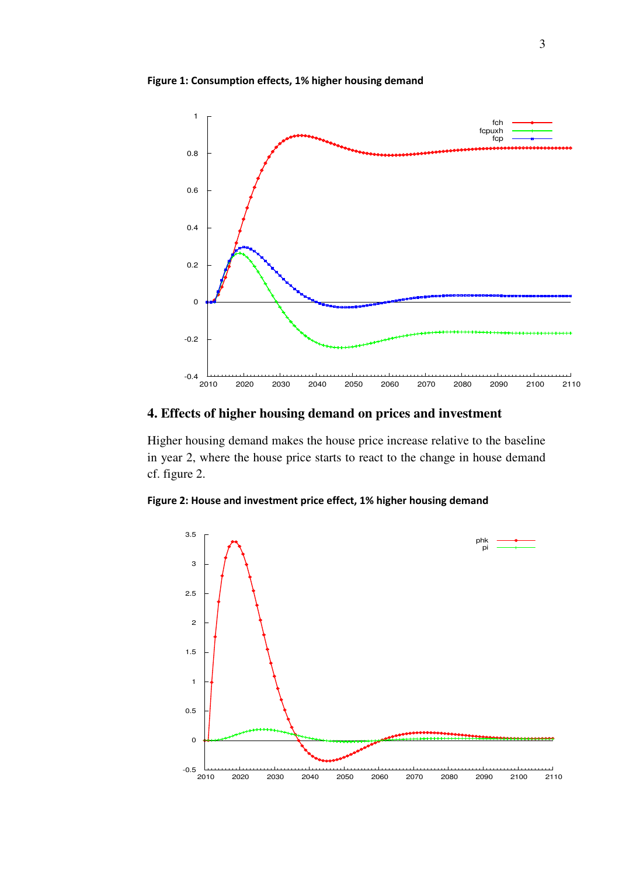Figure 1: Consumption effects, 1% higher housing demand



# **4. Effects of higher housing demand on prices and investment**

Higher housing demand makes the house price increase relative to the baseline in year 2, where the house price starts to react to the change in house demand cf. figure 2.



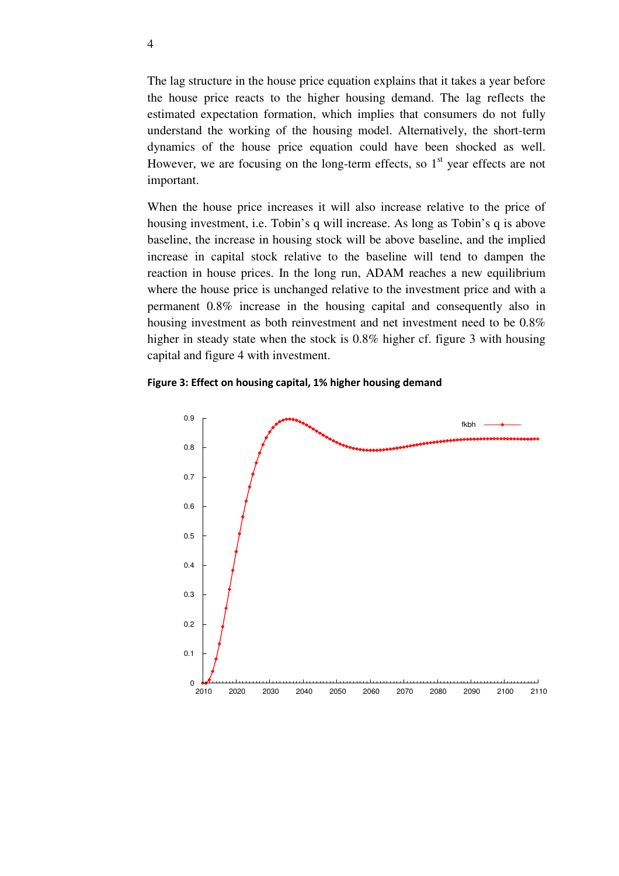The lag structure in the house price equation explains that it takes a year before the house price reacts to the higher housing demand. The lag reflects the estimated expectation formation, which implies that consumers do not fully understand the working of the housing model. Alternatively, the short-term dynamics of the house price equation could have been shocked as well. However, we are focusing on the long-term effects, so  $1<sup>st</sup>$  year effects are not important.

When the house price increases it will also increase relative to the price of housing investment, i.e. Tobin's q will increase. As long as Tobin's q is above baseline, the increase in housing stock will be above baseline, and the implied increase in capital stock relative to the baseline will tend to dampen the reaction in house prices. In the long run, ADAM reaches a new equilibrium where the house price is unchanged relative to the investment price and with a permanent 0.8% increase in the housing capital and consequently also in housing investment as both reinvestment and net investment need to be 0.8% higher in steady state when the stock is 0.8% higher cf. figure 3 with housing capital and figure 4 with investment.

### Figure 3: Effect on housing capital, 1% higher housing demand

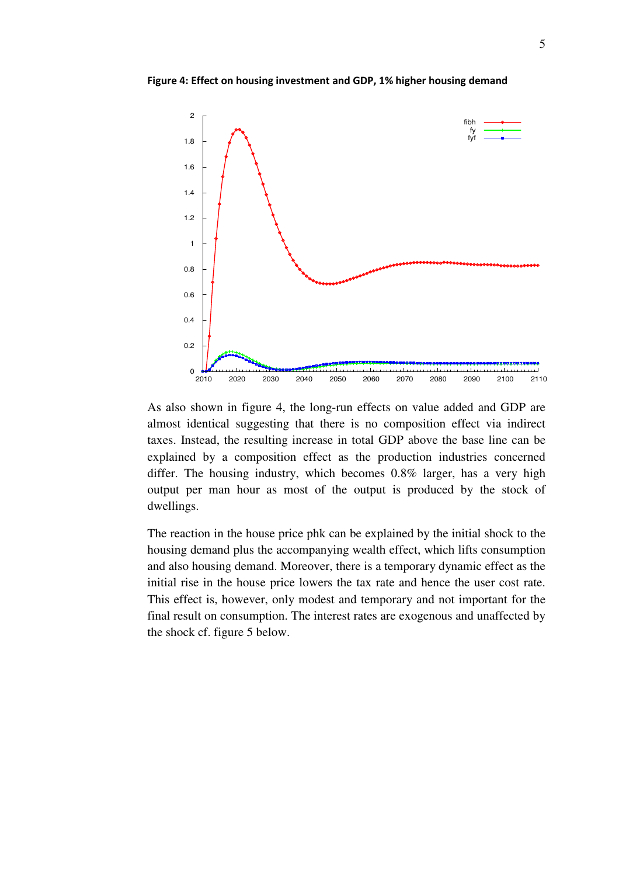Figure 4: Effect on housing investment and GDP, 1% higher housing demand



As also shown in figure 4, the long-run effects on value added and GDP are almost identical suggesting that there is no composition effect via indirect taxes. Instead, the resulting increase in total GDP above the base line can be explained by a composition effect as the production industries concerned differ. The housing industry, which becomes 0.8% larger, has a very high output per man hour as most of the output is produced by the stock of dwellings.

The reaction in the house price phk can be explained by the initial shock to the housing demand plus the accompanying wealth effect, which lifts consumption and also housing demand. Moreover, there is a temporary dynamic effect as the initial rise in the house price lowers the tax rate and hence the user cost rate. This effect is, however, only modest and temporary and not important for the final result on consumption. The interest rates are exogenous and unaffected by the shock cf. figure 5 below.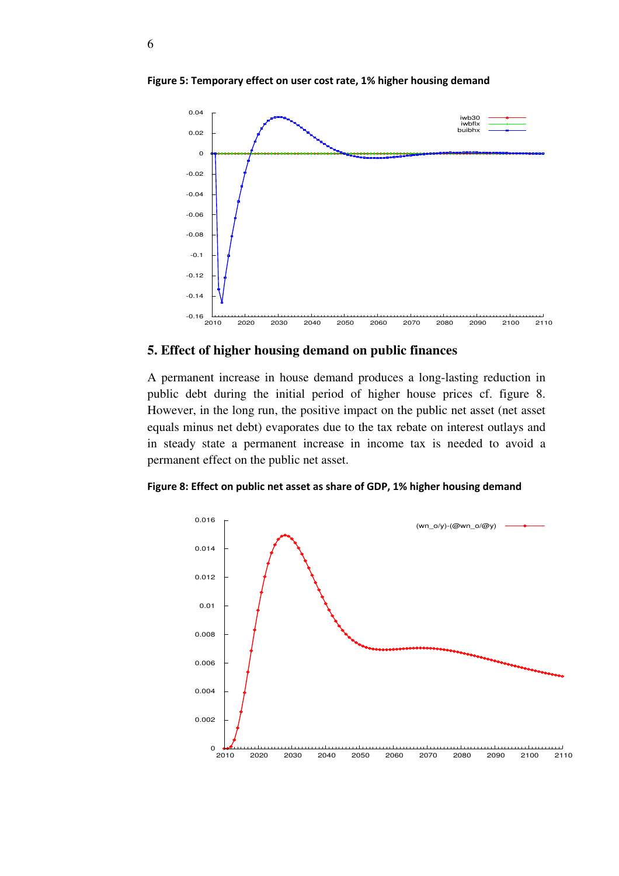

Figure 5: Temporary effect on user cost rate, 1% higher housing demand

## **5. Effect of higher housing demand on public finances**

A permanent increase in house demand produces a long-lasting reduction in public debt during the initial period of higher house prices cf. figure 8. However, in the long run, the positive impact on the public net asset (net asset equals minus net debt) evaporates due to the tax rebate on interest outlays and in steady state a permanent increase in income tax is needed to avoid a permanent effect on the public net asset.

Figure 8: Effect on public net asset as share of GDP, 1% higher housing demand

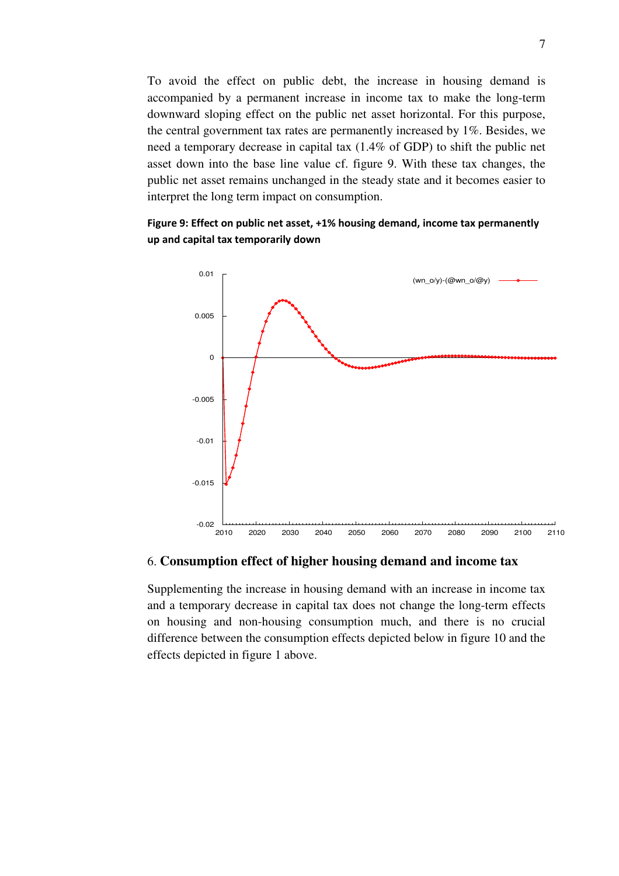To avoid the effect on public debt, the increase in housing demand is accompanied by a permanent increase in income tax to make the long-term downward sloping effect on the public net asset horizontal. For this purpose, the central government tax rates are permanently increased by 1%. Besides, we need a temporary decrease in capital tax (1.4% of GDP) to shift the public net asset down into the base line value cf. figure 9. With these tax changes, the public net asset remains unchanged in the steady state and it becomes easier to interpret the long term impact on consumption.





### 6. **Consumption effect of higher housing demand and income tax**

Supplementing the increase in housing demand with an increase in income tax and a temporary decrease in capital tax does not change the long-term effects on housing and non-housing consumption much, and there is no crucial difference between the consumption effects depicted below in figure 10 and the effects depicted in figure 1 above.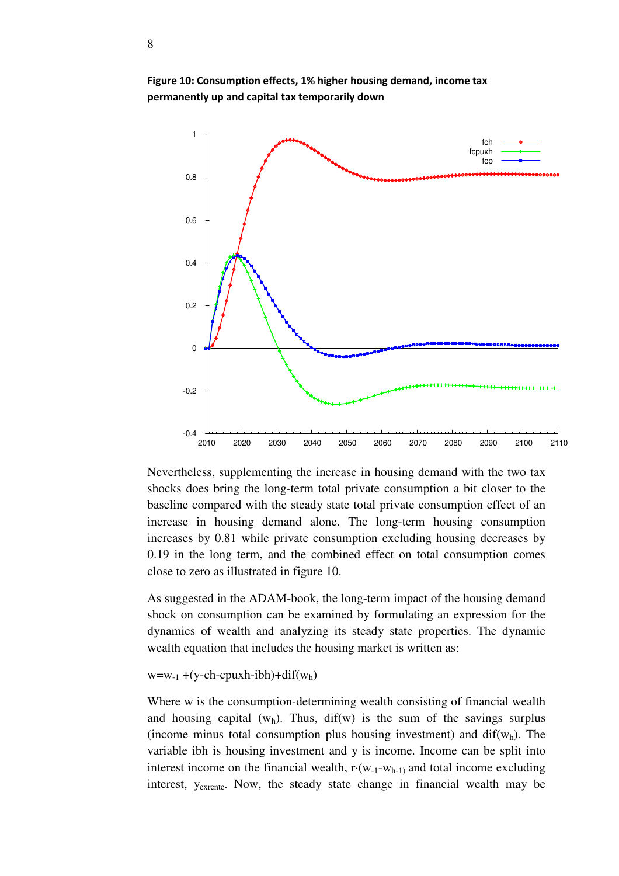

Figure 10: Consumption effects, 1% higher housing demand, income tax permanently up and capital tax temporarily down

Nevertheless, supplementing the increase in housing demand with the two tax shocks does bring the long-term total private consumption a bit closer to the baseline compared with the steady state total private consumption effect of an increase in housing demand alone. The long-term housing consumption increases by 0.81 while private consumption excluding housing decreases by 0.19 in the long term, and the combined effect on total consumption comes close to zero as illustrated in figure 10.

As suggested in the ADAM-book, the long-term impact of the housing demand shock on consumption can be examined by formulating an expression for the dynamics of wealth and analyzing its steady state properties. The dynamic wealth equation that includes the housing market is written as:

#### $w=w_{-1}+(y-ch-cpuxh-ibh)+dif(w_h)$

Where w is the consumption-determining wealth consisting of financial wealth and housing capital  $(w_h)$ . Thus, dif(w) is the sum of the savings surplus (income minus total consumption plus housing investment) and  $\text{dif}(w_h)$ . The variable ibh is housing investment and y is income. Income can be split into interest income on the financial wealth,  $r(w_{-1}-w_{h-1})$  and total income excluding interest, yexrente. Now, the steady state change in financial wealth may be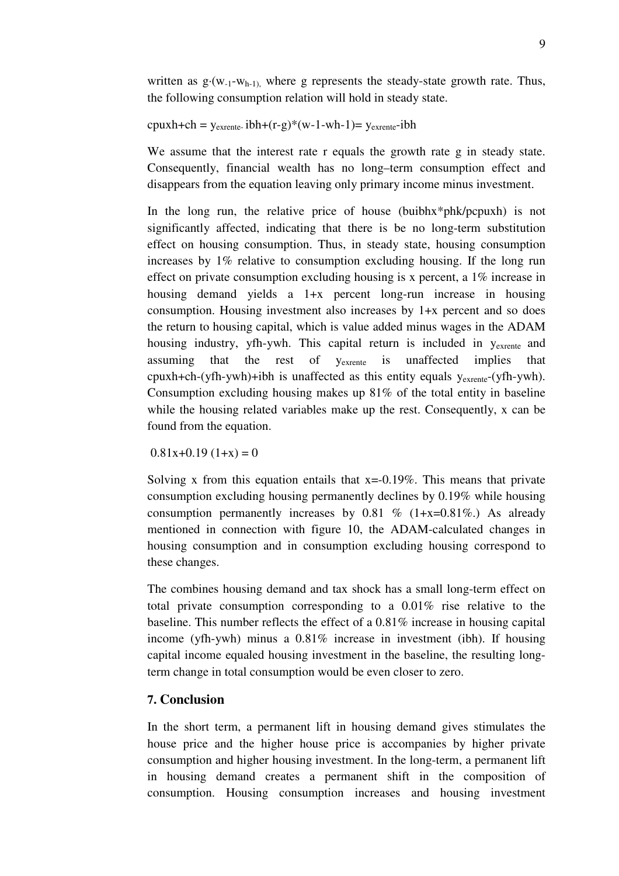written as  $g \cdot (w_{-1} - w_{h-1})$ , where g represents the steady-state growth rate. Thus, the following consumption relation will hold in steady state.

$$
cpuxh + ch = y_{\text{exrente}}\,ibh + (r-g)*(w-1-wh-1) = y_{\text{exrente}}-ibh
$$

We assume that the interest rate r equals the growth rate g in steady state. Consequently, financial wealth has no long–term consumption effect and disappears from the equation leaving only primary income minus investment.

In the long run, the relative price of house (buibhx\*phk/pcpuxh) is not significantly affected, indicating that there is be no long-term substitution effect on housing consumption. Thus, in steady state, housing consumption increases by 1% relative to consumption excluding housing. If the long run effect on private consumption excluding housing is x percent, a 1% increase in housing demand yields a 1+x percent long-run increase in housing consumption. Housing investment also increases by 1+x percent and so does the return to housing capital, which is value added minus wages in the ADAM housing industry, yfh-ywh. This capital return is included in  $y_{\text{exrente}}$  and assuming that the rest of yexrente is unaffected implies that cpuxh+ch-(yfh-ywh)+ibh is unaffected as this entity equals  $y_{\text{extente}}$ -(yfh-ywh). Consumption excluding housing makes up  $81\%$  of the total entity in baseline while the housing related variables make up the rest. Consequently, x can be found from the equation.

 $0.81x+0.19(1+x) = 0$ 

Solving x from this equation entails that  $x=-0.19\%$ . This means that private consumption excluding housing permanently declines by 0.19% while housing consumption permanently increases by 0.81 % (1+x=0.81%). As already mentioned in connection with figure 10, the ADAM-calculated changes in housing consumption and in consumption excluding housing correspond to these changes.

The combines housing demand and tax shock has a small long-term effect on total private consumption corresponding to a 0.01% rise relative to the baseline. This number reflects the effect of a 0.81% increase in housing capital income (yfh-ywh) minus a 0.81% increase in investment (ibh). If housing capital income equaled housing investment in the baseline, the resulting longterm change in total consumption would be even closer to zero.

## **7. Conclusion**

In the short term, a permanent lift in housing demand gives stimulates the house price and the higher house price is accompanies by higher private consumption and higher housing investment. In the long-term, a permanent lift in housing demand creates a permanent shift in the composition of consumption. Housing consumption increases and housing investment